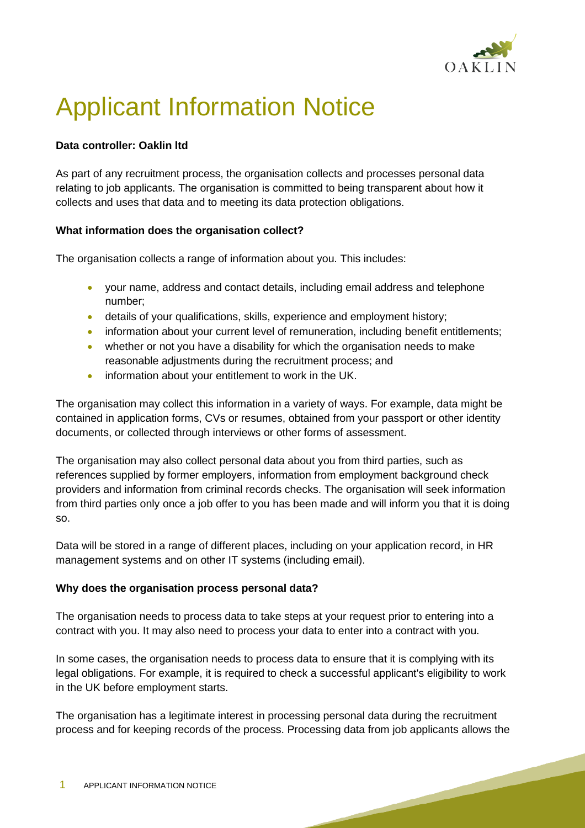

# Applicant Information Notice

## **Data controller: Oaklin ltd**

As part of any recruitment process, the organisation collects and processes personal data relating to job applicants. The organisation is committed to being transparent about how it collects and uses that data and to meeting its data protection obligations.

## **What information does the organisation collect?**

The organisation collects a range of information about you. This includes:

- your name, address and contact details, including email address and telephone number;
- details of your qualifications, skills, experience and employment history;
- information about your current level of remuneration, including benefit entitlements;
- whether or not you have a disability for which the organisation needs to make reasonable adjustments during the recruitment process; and
- information about your entitlement to work in the UK.

The organisation may collect this information in a variety of ways. For example, data might be contained in application forms, CVs or resumes, obtained from your passport or other identity documents, or collected through interviews or other forms of assessment.

The organisation may also collect personal data about you from third parties, such as references supplied by former employers, information from employment background check providers and information from criminal records checks. The organisation will seek information from third parties only once a job offer to you has been made and will inform you that it is doing so.

Data will be stored in a range of different places, including on your application record, in HR management systems and on other IT systems (including email).

## **Why does the organisation process personal data?**

The organisation needs to process data to take steps at your request prior to entering into a contract with you. It may also need to process your data to enter into a contract with you.

In some cases, the organisation needs to process data to ensure that it is complying with its legal obligations. For example, it is required to check a successful applicant's eligibility to work in the UK before employment starts.

The organisation has a legitimate interest in processing personal data during the recruitment process and for keeping records of the process. Processing data from job applicants allows the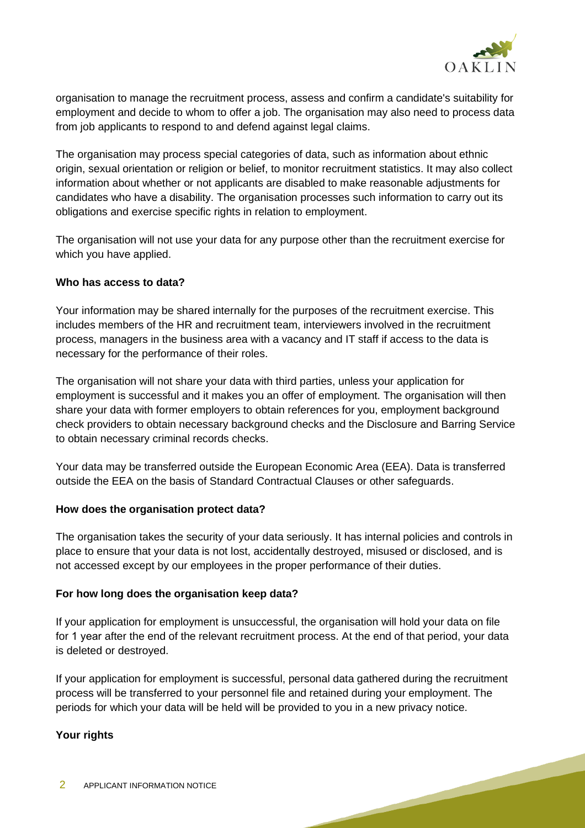

organisation to manage the recruitment process, assess and confirm a candidate's suitability for employment and decide to whom to offer a job. The organisation may also need to process data from job applicants to respond to and defend against legal claims.

The organisation may process special categories of data, such as information about ethnic origin, sexual orientation or religion or belief, to monitor recruitment statistics. It may also collect information about whether or not applicants are disabled to make reasonable adjustments for candidates who have a disability. The organisation processes such information to carry out its obligations and exercise specific rights in relation to employment.

The organisation will not use your data for any purpose other than the recruitment exercise for which you have applied.

## **Who has access to data?**

Your information may be shared internally for the purposes of the recruitment exercise. This includes members of the HR and recruitment team, interviewers involved in the recruitment process, managers in the business area with a vacancy and IT staff if access to the data is necessary for the performance of their roles.

The organisation will not share your data with third parties, unless your application for employment is successful and it makes you an offer of employment. The organisation will then share your data with former employers to obtain references for you, employment background check providers to obtain necessary background checks and the Disclosure and Barring Service to obtain necessary criminal records checks.

Your data may be transferred outside the European Economic Area (EEA). Data is transferred outside the EEA on the basis of Standard Contractual Clauses or other safeguards.

#### **How does the organisation protect data?**

The organisation takes the security of your data seriously. It has internal policies and controls in place to ensure that your data is not lost, accidentally destroyed, misused or disclosed, and is not accessed except by our employees in the proper performance of their duties.

## **For how long does the organisation keep data?**

If your application for employment is unsuccessful, the organisation will hold your data on file for 1 year after the end of the relevant recruitment process. At the end of that period, your data is deleted or destroyed.

If your application for employment is successful, personal data gathered during the recruitment process will be transferred to your personnel file and retained during your employment. The periods for which your data will be held will be provided to you in a new privacy notice.

## **Your rights**